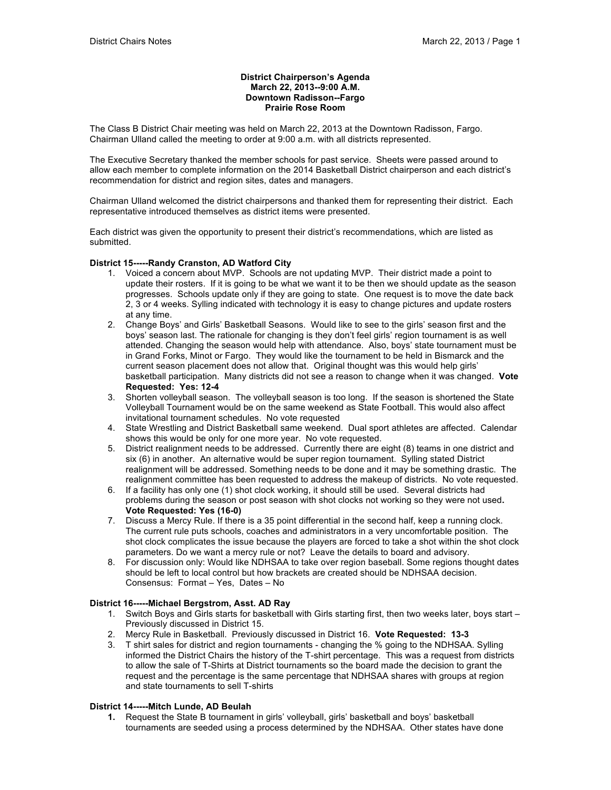#### **District Chairperson's Agenda March 22, 2013--9:00 A.M. Downtown Radisson--Fargo Prairie Rose Room**

The Class B District Chair meeting was held on March 22, 2013 at the Downtown Radisson, Fargo. Chairman Ulland called the meeting to order at 9:00 a.m. with all districts represented.

The Executive Secretary thanked the member schools for past service. Sheets were passed around to allow each member to complete information on the 2014 Basketball District chairperson and each district's recommendation for district and region sites, dates and managers.

Chairman Ulland welcomed the district chairpersons and thanked them for representing their district. Each representative introduced themselves as district items were presented.

Each district was given the opportunity to present their district's recommendations, which are listed as submitted.

### **District 15-----Randy Cranston, AD Watford City**

- 1. Voiced a concern about MVP. Schools are not updating MVP. Their district made a point to update their rosters. If it is going to be what we want it to be then we should update as the season progresses. Schools update only if they are going to state. One request is to move the date back 2, 3 or 4 weeks. Sylling indicated with technology it is easy to change pictures and update rosters at any time.
- 2. Change Boys' and Girls' Basketball Seasons. Would like to see to the girls' season first and the boys' season last. The rationale for changing is they don't feel girls' region tournament is as well attended. Changing the season would help with attendance. Also, boys' state tournament must be in Grand Forks, Minot or Fargo. They would like the tournament to be held in Bismarck and the current season placement does not allow that. Original thought was this would help girls' basketball participation. Many districts did not see a reason to change when it was changed. **Vote Requested: Yes: 12-4**
- 3. Shorten volleyball season. The volleyball season is too long. If the season is shortened the State Volleyball Tournament would be on the same weekend as State Football. This would also affect invitational tournament schedules. No vote requested
- 4. State Wrestling and District Basketball same weekend. Dual sport athletes are affected. Calendar shows this would be only for one more year. No vote requested.
- 5. District realignment needs to be addressed. Currently there are eight (8) teams in one district and six (6) in another. An alternative would be super region tournament. Sylling stated District realignment will be addressed. Something needs to be done and it may be something drastic. The realignment committee has been requested to address the makeup of districts. No vote requested.
- 6. If a facility has only one (1) shot clock working, it should still be used. Several districts had problems during the season or post season with shot clocks not working so they were not used**. Vote Requested: Yes (16-0)**
- 7. Discuss a Mercy Rule. If there is a 35 point differential in the second half, keep a running clock. The current rule puts schools, coaches and administrators in a very uncomfortable position. The shot clock complicates the issue because the players are forced to take a shot within the shot clock parameters. Do we want a mercy rule or not? Leave the details to board and advisory.
- 8. For discussion only: Would like NDHSAA to take over region baseball. Some regions thought dates should be left to local control but how brackets are created should be NDHSAA decision. Consensus: Format – Yes, Dates – No

#### **District 16-----Michael Bergstrom, Asst. AD Ray**

- 1. Switch Boys and Girls starts for basketball with Girls starting first, then two weeks later, boys start Previously discussed in District 15.
- 2. Mercy Rule in Basketball. Previously discussed in District 16. **Vote Requested: 13-3**
- 3. T shirt sales for district and region tournaments changing the % going to the NDHSAA. Sylling informed the District Chairs the history of the T-shirt percentage. This was a request from districts to allow the sale of T-Shirts at District tournaments so the board made the decision to grant the request and the percentage is the same percentage that NDHSAA shares with groups at region and state tournaments to sell T-shirts

# **District 14-----Mitch Lunde, AD Beulah**

**1.** Request the State B tournament in girls' volleyball, girls' basketball and boys' basketball tournaments are seeded using a process determined by the NDHSAA. Other states have done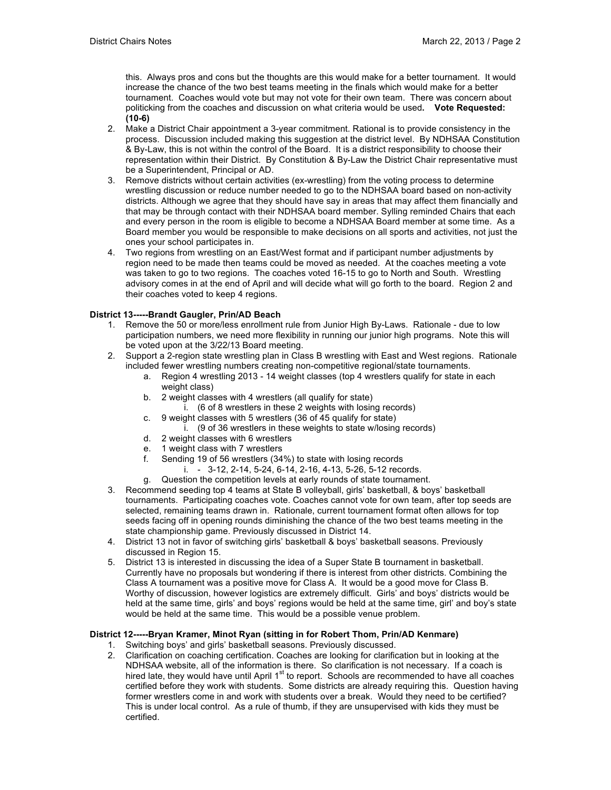this. Always pros and cons but the thoughts are this would make for a better tournament. It would increase the chance of the two best teams meeting in the finals which would make for a better tournament. Coaches would vote but may not vote for their own team. There was concern about politicking from the coaches and discussion on what criteria would be used**. Vote Requested: (10-6)** 

- 2. Make a District Chair appointment a 3-year commitment. Rational is to provide consistency in the process. Discussion included making this suggestion at the district level. By NDHSAA Constitution & By-Law, this is not within the control of the Board. It is a district responsibility to choose their representation within their District. By Constitution & By-Law the District Chair representative must be a Superintendent, Principal or AD.
- 3. Remove districts without certain activities (ex-wrestling) from the voting process to determine wrestling discussion or reduce number needed to go to the NDHSAA board based on non-activity districts. Although we agree that they should have say in areas that may affect them financially and that may be through contact with their NDHSAA board member. Sylling reminded Chairs that each and every person in the room is eligible to become a NDHSAA Board member at some time. As a Board member you would be responsible to make decisions on all sports and activities, not just the ones your school participates in.
- 4. Two regions from wrestling on an East/West format and if participant number adjustments by region need to be made then teams could be moved as needed. At the coaches meeting a vote was taken to go to two regions. The coaches voted 16-15 to go to North and South. Wrestling advisory comes in at the end of April and will decide what will go forth to the board. Region 2 and their coaches voted to keep 4 regions.

# **District 13-----Brandt Gaugler, Prin/AD Beach**

- 1. Remove the 50 or more/less enrollment rule from Junior High By-Laws. Rationale due to low participation numbers, we need more flexibility in running our junior high programs. Note this will be voted upon at the 3/22/13 Board meeting.
- 2. Support a 2-region state wrestling plan in Class B wrestling with East and West regions. Rationale included fewer wrestling numbers creating non-competitive regional/state tournaments.
	- a. Region 4 wrestling 2013 14 weight classes (top 4 wrestlers qualify for state in each weight class)
	- b. 2 weight classes with 4 wrestlers (all qualify for state)
		- i. (6 of 8 wrestlers in these 2 weights with losing records)
	- c. 9 weight classes with 5 wrestlers (36 of 45 qualify for state)
		- i. (9 of 36 wrestlers in these weights to state w/losing records)
	- d. 2 weight classes with 6 wrestlers
	- e. 1 weight class with 7 wrestlers
	- f. Sending 19 of 56 wrestlers (34%) to state with losing records
		- i. 3-12, 2-14, 5-24, 6-14, 2-16, 4-13, 5-26, 5-12 records.
	- g. Question the competition levels at early rounds of state tournament.
- 3. Recommend seeding top 4 teams at State B volleyball, girls' basketball, & boys' basketball tournaments. Participating coaches vote. Coaches cannot vote for own team, after top seeds are selected, remaining teams drawn in. Rationale, current tournament format often allows for top seeds facing off in opening rounds diminishing the chance of the two best teams meeting in the state championship game. Previously discussed in District 14.
- 4. District 13 not in favor of switching girls' basketball & boys' basketball seasons. Previously discussed in Region 15.
- 5. District 13 is interested in discussing the idea of a Super State B tournament in basketball. Currently have no proposals but wondering if there is interest from other districts. Combining the Class A tournament was a positive move for Class A. It would be a good move for Class B. Worthy of discussion, however logistics are extremely difficult. Girls' and boys' districts would be held at the same time, girls' and boys' regions would be held at the same time, girl' and boy's state would be held at the same time. This would be a possible venue problem.

#### **District 12-----Bryan Kramer, Minot Ryan (sitting in for Robert Thom, Prin/AD Kenmare)**

- 1. Switching boys' and girls' basketball seasons. Previously discussed.
- 2. Clarification on coaching certification. Coaches are looking for clarification but in looking at the NDHSAA website, all of the information is there. So clarification is not necessary. If a coach is hired late, they would have until April  $1<sup>st</sup>$  to report. Schools are recommended to have all coaches certified before they work with students. Some districts are already requiring this. Question having former wrestlers come in and work with students over a break. Would they need to be certified? This is under local control. As a rule of thumb, if they are unsupervised with kids they must be certified.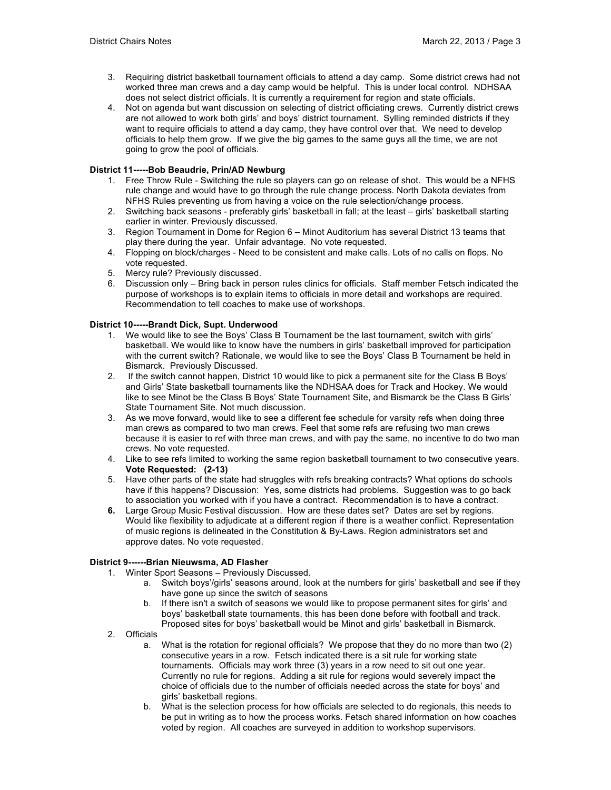- 3. Requiring district basketball tournament officials to attend a day camp. Some district crews had not worked three man crews and a day camp would be helpful. This is under local control. NDHSAA does not select district officials. It is currently a requirement for region and state officials.
- 4. Not on agenda but want discussion on selecting of district officiating crews. Currently district crews are not allowed to work both girls' and boys' district tournament. Sylling reminded districts if they want to require officials to attend a day camp, they have control over that. We need to develop officials to help them grow. If we give the big games to the same guys all the time, we are not going to grow the pool of officials.

### **District 11-----Bob Beaudrie, Prin/AD Newburg**

- 1. Free Throw Rule Switching the rule so players can go on release of shot. This would be a NFHS rule change and would have to go through the rule change process. North Dakota deviates from NFHS Rules preventing us from having a voice on the rule selection/change process.
- 2. Switching back seasons preferably girls' basketball in fall; at the least girls' basketball starting earlier in winter. Previously discussed.
- 3. Region Tournament in Dome for Region 6 Minot Auditorium has several District 13 teams that play there during the year. Unfair advantage. No vote requested.
- 4. Flopping on block/charges Need to be consistent and make calls. Lots of no calls on flops. No vote requested.
- 5. Mercy rule? Previously discussed.
- 6. Discussion only Bring back in person rules clinics for officials. Staff member Fetsch indicated the purpose of workshops is to explain items to officials in more detail and workshops are required. Recommendation to tell coaches to make use of workshops.

### **District 10-----Brandt Dick, Supt. Underwood**

- 1. We would like to see the Boys' Class B Tournament be the last tournament, switch with girls' basketball. We would like to know have the numbers in girls' basketball improved for participation with the current switch? Rationale, we would like to see the Boys' Class B Tournament be held in Bismarck. Previously Discussed.
- 2. If the switch cannot happen, District 10 would like to pick a permanent site for the Class B Boys' and Girls' State basketball tournaments like the NDHSAA does for Track and Hockey. We would like to see Minot be the Class B Boys' State Tournament Site, and Bismarck be the Class B Girls' State Tournament Site. Not much discussion.
- 3. As we move forward, would like to see a different fee schedule for varsity refs when doing three man crews as compared to two man crews. Feel that some refs are refusing two man crews because it is easier to ref with three man crews, and with pay the same, no incentive to do two man crews. No vote requested.
- 4. Like to see refs limited to working the same region basketball tournament to two consecutive years. **Vote Requested: (2-13)**
- 5. Have other parts of the state had struggles with refs breaking contracts? What options do schools have if this happens? Discussion: Yes, some districts had problems. Suggestion was to go back to association you worked with if you have a contract. Recommendation is to have a contract.
- **6.** Large Group Music Festival discussion. How are these dates set? Dates are set by regions. Would like flexibility to adjudicate at a different region if there is a weather conflict. Representation of music regions is delineated in the Constitution & By-Laws. Region administrators set and approve dates. No vote requested.

# **District 9------Brian Nieuwsma, AD Flasher**

- 1. Winter Sport Seasons Previously Discussed.
	- a. Switch boys'/girls' seasons around, look at the numbers for girls' basketball and see if they have gone up since the switch of seasons
	- b. If there isn't a switch of seasons we would like to propose permanent sites for girls' and boys' basketball state tournaments, this has been done before with football and track. Proposed sites for boys' basketball would be Minot and girls' basketball in Bismarck.
- 2. Officials
	- a. What is the rotation for regional officials? We propose that they do no more than two (2) consecutive years in a row. Fetsch indicated there is a sit rule for working state tournaments. Officials may work three (3) years in a row need to sit out one year. Currently no rule for regions. Adding a sit rule for regions would severely impact the choice of officials due to the number of officials needed across the state for boys' and girls' basketball regions.
	- b. What is the selection process for how officials are selected to do regionals, this needs to be put in writing as to how the process works. Fetsch shared information on how coaches voted by region. All coaches are surveyed in addition to workshop supervisors.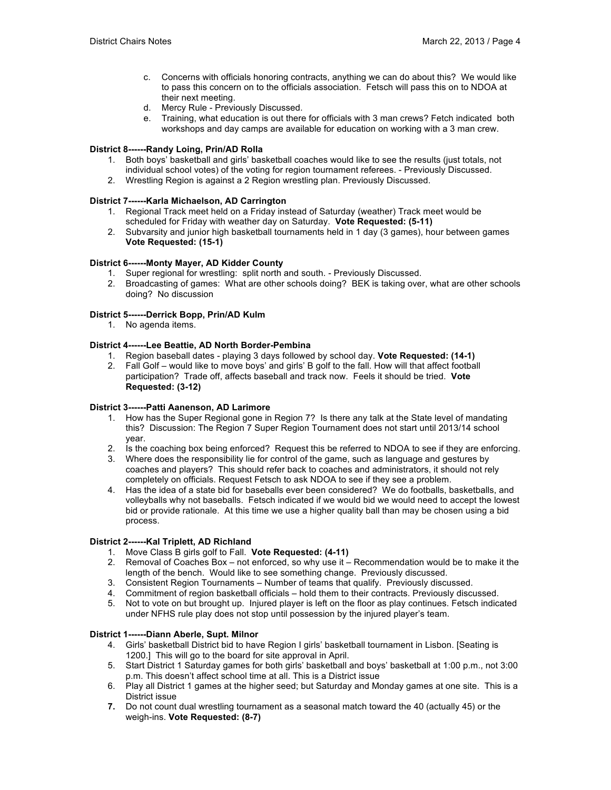- c. Concerns with officials honoring contracts, anything we can do about this? We would like to pass this concern on to the officials association. Fetsch will pass this on to NDOA at their next meeting.
- d. Mercy Rule Previously Discussed.
- e. Training, what education is out there for officials with 3 man crews? Fetch indicated both workshops and day camps are available for education on working with a 3 man crew.

#### **District 8------Randy Loing, Prin/AD Rolla**

- 1. Both boys' basketball and girls' basketball coaches would like to see the results (just totals, not individual school votes) of the voting for region tournament referees. - Previously Discussed.
- 2. Wrestling Region is against a 2 Region wrestling plan. Previously Discussed.

### **District 7------Karla Michaelson, AD Carrington**

- 1. Regional Track meet held on a Friday instead of Saturday (weather) Track meet would be scheduled for Friday with weather day on Saturday. **Vote Requested: (5-11)**
- 2. Subvarsity and junior high basketball tournaments held in 1 day (3 games), hour between games **Vote Requested: (15-1)**

# **District 6------Monty Mayer, AD Kidder County**

- 1. Super regional for wrestling: split north and south. Previously Discussed.
- 2. Broadcasting of games: What are other schools doing? BEK is taking over, what are other schools doing? No discussion

### **District 5------Derrick Bopp, Prin/AD Kulm**

1. No agenda items.

# **District 4------Lee Beattie, AD North Border-Pembina**

- 1. Region baseball dates playing 3 days followed by school day. **Vote Requested: (14-1)**
- 2. Fall Golf would like to move boys' and girls' B golf to the fall. How will that affect football participation? Trade off, affects baseball and track now. Feels it should be tried. **Vote Requested: (3-12)**

# **District 3------Patti Aanenson, AD Larimore**

- 1. How has the Super Regional gone in Region 7? Is there any talk at the State level of mandating this? Discussion: The Region 7 Super Region Tournament does not start until 2013/14 school year.
- 2. Is the coaching box being enforced? Request this be referred to NDOA to see if they are enforcing.
- 3. Where does the responsibility lie for control of the game, such as language and gestures by coaches and players? This should refer back to coaches and administrators, it should not rely completely on officials. Request Fetsch to ask NDOA to see if they see a problem.
- 4. Has the idea of a state bid for baseballs ever been considered? We do footballs, basketballs, and volleyballs why not baseballs. Fetsch indicated if we would bid we would need to accept the lowest bid or provide rationale. At this time we use a higher quality ball than may be chosen using a bid process.

# **District 2------Kal Triplett, AD Richland**

- 1. Move Class B girls golf to Fall. **Vote Requested: (4-11)**
- 2. Removal of Coaches Box not enforced, so why use it Recommendation would be to make it the length of the bench. Would like to see something change. Previously discussed.
- 3. Consistent Region Tournaments Number of teams that qualify. Previously discussed.
- 4. Commitment of region basketball officials hold them to their contracts. Previously discussed.
- 5. Not to vote on but brought up. Injured player is left on the floor as play continues. Fetsch indicated under NFHS rule play does not stop until possession by the injured player's team.

# **District 1------Diann Aberle, Supt. Milnor**

- 4. Girls' basketball District bid to have Region I girls' basketball tournament in Lisbon. [Seating is 1200.] This will go to the board for site approval in April.
- 5. Start District 1 Saturday games for both girls' basketball and boys' basketball at 1:00 p.m., not 3:00 p.m. This doesn't affect school time at all. This is a District issue
- 6. Play all District 1 games at the higher seed; but Saturday and Monday games at one site. This is a District issue
- **7.** Do not count dual wrestling tournament as a seasonal match toward the 40 (actually 45) or the weigh-ins. **Vote Requested: (8-7)**